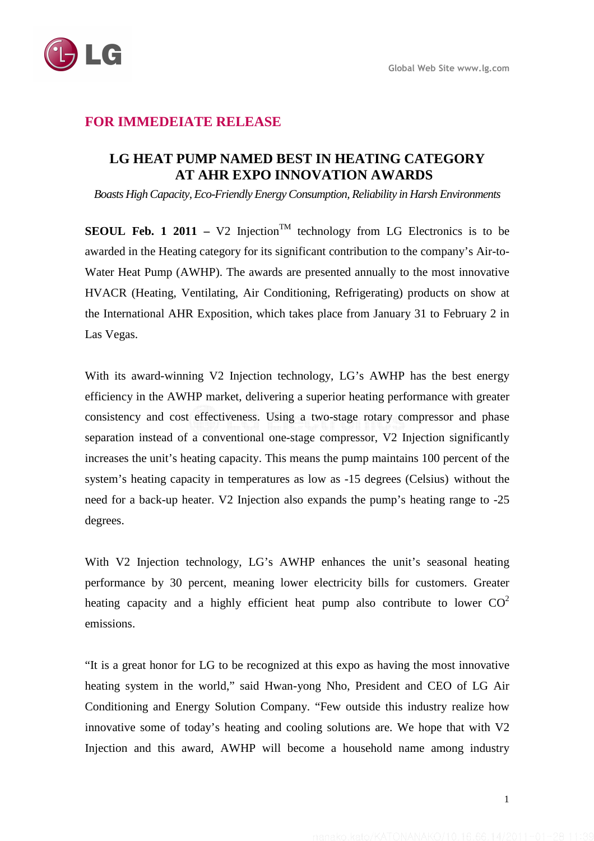

## **FOR IMMEDEIATE RELEASE**

## **LG HEAT PUMP NAMED BEST IN HEATING CATEGORY AT AHR EXPO INNOVATION AWARDS**

*Boasts High Capacity, Eco-Friendly Energy Consumption, Reliability in Harsh Environments* 

**SEOUL Feb. 1 2011** – V2 Injection<sup>TM</sup> technology from LG Electronics is to be awarded in the Heating category for its significant contribution to the company's Air-to-Water Heat Pump (AWHP). The awards are presented annually to the most innovative HVACR (Heating, Ventilating, Air Conditioning, Refrigerating) products on show at the International AHR Exposition, which takes place from January 31 to February 2 in Las Vegas.

With its award-winning V2 Injection technology, LG's AWHP has the best energy efficiency in the AWHP market, delivering a superior heating performance with greater consistency and cost effectiveness. Using a two-stage rotary compressor and phase separation instead of a conventional one-stage compressor, V2 Injection significantly increases the unit's heating capacity. This means the pump maintains 100 percent of the system's heating capacity in temperatures as low as -15 degrees (Celsius) without the need for a back-up heater. V2 Injection also expands the pump's heating range to -25 degrees.

With V2 Injection technology, LG's AWHP enhances the unit's seasonal heating performance by 30 percent, meaning lower electricity bills for customers. Greater heating capacity and a highly efficient heat pump also contribute to lower  $CO<sup>2</sup>$ emissions.

"It is a great honor for LG to be recognized at this expo as having the most innovative heating system in the world," said Hwan-yong Nho, President and CEO of LG Air Conditioning and Energy Solution Company. "Few outside this industry realize how innovative some of today's heating and cooling solutions are. We hope that with V2 Injection and this award, AWHP will become a household name among industry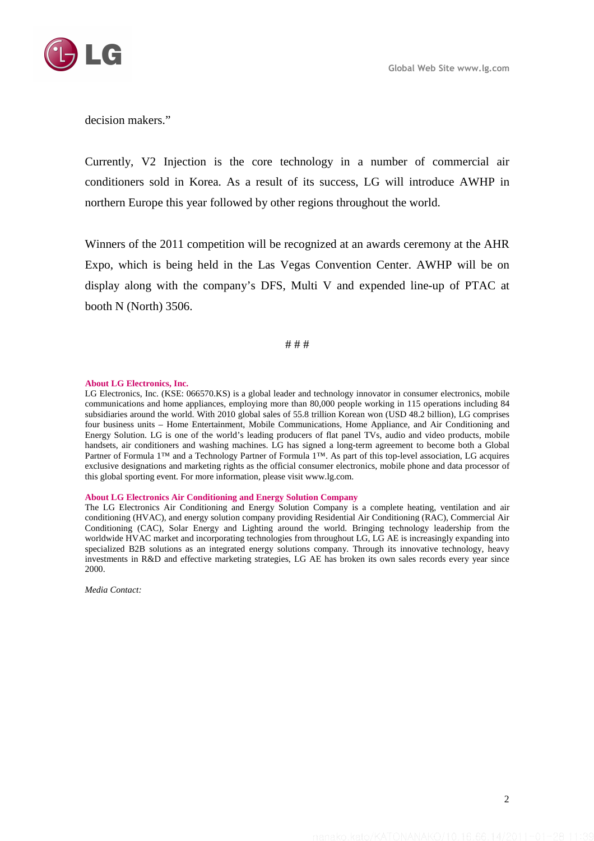

decision makers."

Currently, V2 Injection is the core technology in a number of commercial air conditioners sold in Korea. As a result of its success, LG will introduce AWHP in northern Europe this year followed by other regions throughout the world.

Winners of the 2011 competition will be recognized at an awards ceremony at the AHR Expo, which is being held in the Las Vegas Convention Center. AWHP will be on display along with the company's DFS, Multi V and expended line-up of PTAC at booth N (North) 3506.

# # #

## **About LG Electronics, Inc.**

LG Electronics, Inc. (KSE: 066570.KS) is a global leader and technology innovator in consumer electronics, mobile communications and home appliances, employing more than 80,000 people working in 115 operations including 84 subsidiaries around the world. With 2010 global sales of 55.8 trillion Korean won (USD 48.2 billion), LG comprises four business units – Home Entertainment, Mobile Communications, Home Appliance, and Air Conditioning and Energy Solution. LG is one of the world's leading producers of flat panel TVs, audio and video products, mobile handsets, air conditioners and washing machines. LG has signed a long-term agreement to become both a Global Partner of Formula 1™ and a Technology Partner of Formula 1™. As part of this top-level association, LG acquires exclusive designations and marketing rights as the official consumer electronics, mobile phone and data processor of this global sporting event. For more information, please visit www.lg.com.

## **About LG Electronics Air Conditioning and Energy Solution Company**

The LG Electronics Air Conditioning and Energy Solution Company is a complete heating, ventilation and air conditioning (HVAC), and energy solution company providing Residential Air Conditioning (RAC), Commercial Air Conditioning (CAC), Solar Energy and Lighting around the world. Bringing technology leadership from the worldwide HVAC market and incorporating technologies from throughout LG, LG AE is increasingly expanding into specialized B2B solutions as an integrated energy solutions company. Through its innovative technology, heavy investments in R&D and effective marketing strategies, LG AE has broken its own sales records every year since 2000.

*Media Contact:*